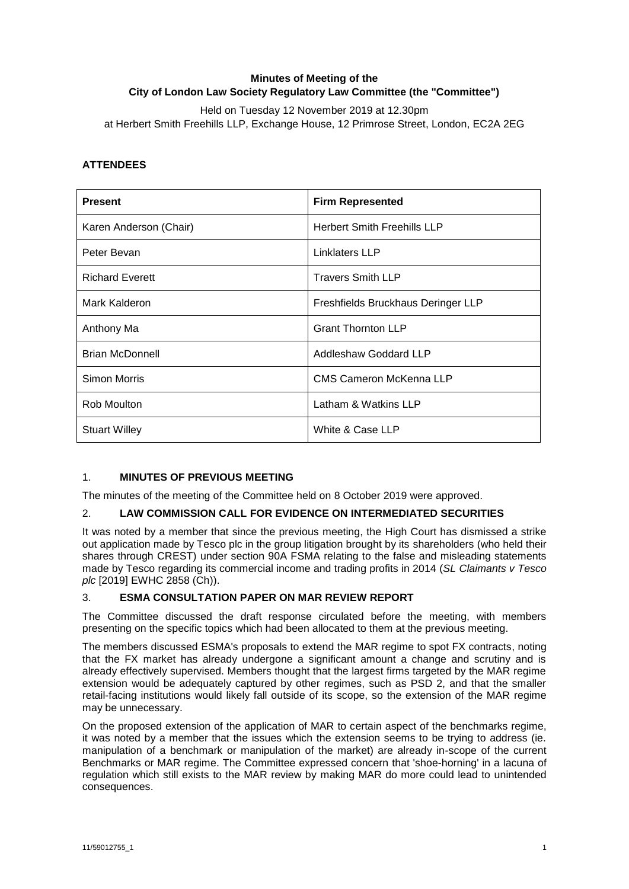## **Minutes of Meeting of the City of London Law Society Regulatory Law Committee (the "Committee")**

Held on Tuesday 12 November 2019 at 12.30pm at Herbert Smith Freehills LLP, Exchange House, 12 Primrose Street, London, EC2A 2EG

# **ATTENDEES**

| <b>Present</b>         | <b>Firm Represented</b>            |
|------------------------|------------------------------------|
| Karen Anderson (Chair) | <b>Herbert Smith Freehills LLP</b> |
| Peter Bevan            | Linklaters LLP                     |
| <b>Richard Everett</b> | <b>Travers Smith LLP</b>           |
| Mark Kalderon          | Freshfields Bruckhaus Deringer LLP |
| Anthony Ma             | <b>Grant Thornton LLP</b>          |
| <b>Brian McDonnell</b> | Addleshaw Goddard LLP              |
| Simon Morris           | <b>CMS Cameron McKenna LLP</b>     |
| Rob Moulton            | Latham & Watkins LLP               |
| <b>Stuart Willey</b>   | White & Case LLP                   |

### 1. **MINUTES OF PREVIOUS MEETING**

The minutes of the meeting of the Committee held on 8 October 2019 were approved.

### 2. **LAW COMMISSION CALL FOR EVIDENCE ON INTERMEDIATED SECURITIES**

It was noted by a member that since the previous meeting, the High Court has dismissed a strike out application made by Tesco plc in the group litigation brought by its shareholders (who held their shares through CREST) under section 90A FSMA relating to the false and misleading statements made by Tesco regarding its commercial income and trading profits in 2014 (*SL Claimants v Tesco plc* [2019] EWHC 2858 (Ch)).

### 3. **ESMA CONSULTATION PAPER ON MAR REVIEW REPORT**

The Committee discussed the draft response circulated before the meeting, with members presenting on the specific topics which had been allocated to them at the previous meeting.

The members discussed ESMA's proposals to extend the MAR regime to spot FX contracts, noting that the FX market has already undergone a significant amount a change and scrutiny and is already effectively supervised. Members thought that the largest firms targeted by the MAR regime extension would be adequately captured by other regimes, such as PSD 2, and that the smaller retail-facing institutions would likely fall outside of its scope, so the extension of the MAR regime may be unnecessary.

On the proposed extension of the application of MAR to certain aspect of the benchmarks regime, it was noted by a member that the issues which the extension seems to be trying to address (ie. manipulation of a benchmark or manipulation of the market) are already in-scope of the current Benchmarks or MAR regime. The Committee expressed concern that 'shoe-horning' in a lacuna of regulation which still exists to the MAR review by making MAR do more could lead to unintended consequences.